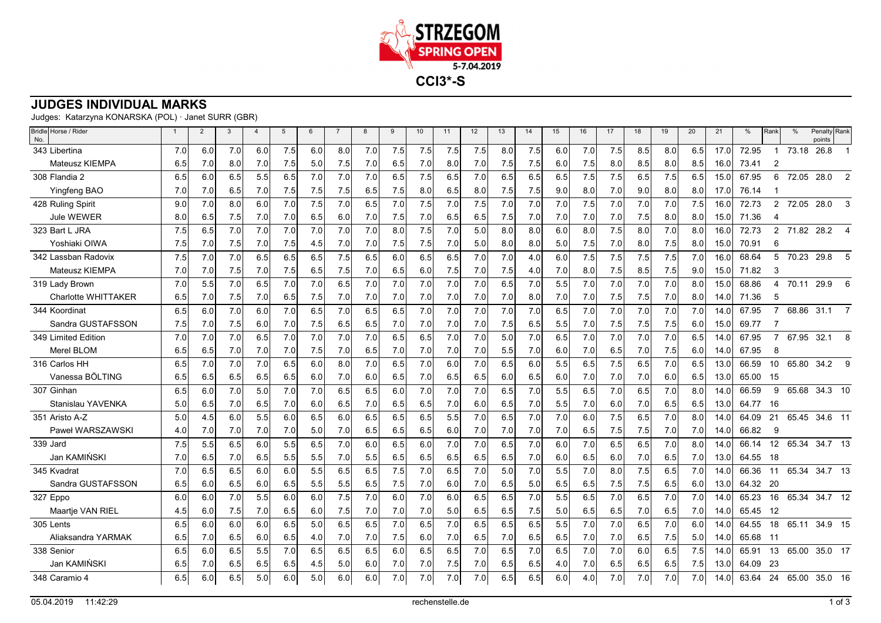

## **JUDGES INDIVIDUAL MARKS**

Judges: Katarzyna KONARSKA (POL) · Janet SURR (GBR)

| Bridle Horse / Rider<br>No. | $\mathbf{1}$ | $\overline{2}$ | 3   | $\overline{4}$ | 5   | 6   | $\overline{7}$ | 8   | 9   | 10  | 11  | 12   | 13  | 14  | 15  | 16  | 17  | 18  | 19  | 20  | 21   | %     | Rank                  | $\frac{0}{0}$ | Penalty Rank<br>points |              |
|-----------------------------|--------------|----------------|-----|----------------|-----|-----|----------------|-----|-----|-----|-----|------|-----|-----|-----|-----|-----|-----|-----|-----|------|-------|-----------------------|---------------|------------------------|--------------|
| 343 Libertina               | 7.0          | 6.0            | 7.0 | 6.0            | 7.5 | 6.0 | 8.0            | 7.0 | 7.5 | 7.5 | 7.5 | 7.5  | 8.0 | 7.5 | 6.0 | 7.0 | 7.5 | 8.5 | 8.0 | 6.5 | 17.0 | 72.95 |                       | 73.18         | 26.8                   |              |
| <b>Mateusz KIEMPA</b>       | 6.5          | 7.0            | 8.0 | 7.0            | 7.5 | 5.0 | 7.5            | 7.0 | 6.5 | 7.0 | 8.0 | 7.0  | 7.5 | 7.5 | 6.0 | 7.5 | 8.0 | 8.5 | 8.0 | 8.5 | 16.0 | 73.41 | 2                     |               |                        |              |
| 308 Flandia 2               | 6.5          | 6.0            | 6.5 | 5.5            | 6.5 | 7.0 | 7.0            | 7.0 | 6.5 | 7.5 | 6.5 | 7.0  | 6.5 | 6.5 | 6.5 | 7.5 | 7.5 | 6.5 | 7.5 | 6.5 | 15.0 | 67.95 | 6                     | 72.05         | 28.0                   | 2            |
| Yingfeng BAO                | 7.0          | 7.0            | 6.5 | 7.0            | 7.5 | 7.5 | 7.5            | 6.5 | 7.5 | 8.0 | 6.5 | 8.0  | 7.5 | 7.5 | 9.0 | 8.0 | 7.0 | 9.0 | 8.0 | 8.0 | 17.0 | 76.14 |                       |               |                        |              |
| 428 Ruling Spirit           | 9.0          | 7.0            | 8.0 | 6.0            | 7.0 | 7.5 | 7.0            | 6.5 | 7.0 | 7.5 | 7.0 | 7.5  | 7.0 | 7.0 | 7.0 | 7.5 | 7.0 | 7.0 | 7.0 | 7.5 | 16.0 | 72.73 | $\overline{2}$        | 72.05         | 28.0                   | 3            |
| <b>Jule WEWER</b>           | 8.0          | 6.5            | 7.5 | 7.0            | 7.0 | 6.5 | 6.0            | 7.0 | 7.5 | 7.0 | 6.5 | 6.5  | 7.5 | 7.0 | 7.0 | 7.0 | 7.0 | 7.5 | 8.0 | 8.0 | 15.0 | 71.36 | 4                     |               |                        |              |
| 323 Bart L JRA              | 7.5          | 6.5            | 7.0 | 7.0            | 7.0 | 7.0 | 7.0            | 7.0 | 8.0 | 7.5 | 7.0 | 5.0  | 8.0 | 8.0 | 6.0 | 8.0 | 7.5 | 8.0 | 7.0 | 8.0 | 16.0 | 72.73 | $\overline{2}$        |               | 71.82 28.2             |              |
| Yoshiaki OIWA               | 7.5          | 7.0            | 7.5 | 7.0            | 7.5 | 4.5 | 7.0            | 7.0 | 7.5 | 7.5 | 7.0 | 5.01 | 8.0 | 8.0 | 5.0 | 7.5 | 7.0 | 8.0 | 7.5 | 8.0 | 15.0 | 70.91 | 6                     |               |                        |              |
| 342 Lassban Radovix         | 7.5          | 7.0            | 7.0 | 6.5            | 6.5 | 6.5 | 7.5            | 6.5 | 6.0 | 6.5 | 6.5 | 7.0  | 7.0 | 4.0 | 6.0 | 7.5 | 7.5 | 7.5 | 7.5 | 7.0 | 16.0 | 68.64 | 5                     |               | 70.23 29.8             | д            |
| Mateusz KIEMPA              | 7.0          | 7.0            | 7.5 | 7.0            | 7.5 | 6.5 | 7.5            | 7.0 | 6.5 | 6.0 | 7.5 | 7.0  | 7.5 | 4.0 | 7.0 | 8.0 | 7.5 | 8.5 | 7.5 | 9.0 | 15.0 | 71.82 | 3                     |               |                        |              |
| 319 Lady Brown              | 7.0          | 5.5            | 7.0 | 6.5            | 7.0 | 7.0 | 6.5            | 7.0 | 7.0 | 7.0 | 7.0 | 7.0  | 6.5 | 7.0 | 5.5 | 7.0 | 7.0 | 7.0 | 7.0 | 8.0 | 15.0 | 68.86 | $\boldsymbol{\Delta}$ | 70.11         | 29.9                   | 6            |
| <b>Charlotte WHITTAKER</b>  | 6.5          | 7.0            | 7.5 | 7.0            | 6.5 | 7.5 | 7.0            | 7.0 | 7.0 | 7.0 | 7.0 | 7.0  | 7.0 | 8.0 | 7.0 | 7.0 | 7.5 | 7.5 | 7.0 | 8.0 | 14.0 | 71.36 | 5                     |               |                        |              |
| 344 Koordinat               | 6.5          | 6.0            | 7.0 | 6.0            | 7.0 | 6.5 | 7.0            | 6.5 | 6.5 | 7.0 | 7.0 | 7.0  | 7.0 | 7.0 | 6.5 | 7.0 | 7.0 | 7.0 | 7.0 | 7.0 | 14.0 | 67.95 | $\overline{7}$        | 68.86         | 31.1                   |              |
| Sandra GUSTAFSSON           | 7.5          | 7.0            | 7.5 | 6.0            | 7.0 | 7.5 | 6.5            | 6.5 | 7.0 | 7.0 | 7.0 | 7.0  | 7.5 | 6.5 | 5.5 | 7.0 | 7.5 | 7.5 | 7.5 | 6.0 | 15.0 | 69.77 |                       |               |                        |              |
| 349 Limited Edition         | 7.0          | 7.0            | 7.0 | 6.5            | 7.0 | 7.0 | 7.0            | 7.0 | 6.5 | 6.5 | 7.0 | 7.0  | 5.0 | 7.0 | 6.5 | 7.0 | 7.0 | 7.0 | 7.0 | 6.5 | 14.0 | 67.95 | $\overline{7}$        | 67.95         | 32.1                   | 8            |
| Merel BLOM                  | 6.5          | 6.5            | 7.0 | 7.0            | 7.0 | 7.5 | 7.0            | 6.5 | 7.0 | 7.0 | 7.0 | 7.0  | 5.5 | 7.0 | 6.0 | 7.0 | 6.5 | 7.0 | 7.5 | 6.0 | 14.0 | 67.95 | 8                     |               |                        |              |
| 316 Carlos HH               | 6.5          | 7.0            | 7.0 | 7.0            | 6.5 | 6.0 | 8.0            | 7.0 | 6.5 | 7.0 | 6.0 | 7.0  | 6.5 | 6.0 | 5.5 | 6.5 | 7.5 | 6.5 | 7.0 | 6.5 | 13.0 | 66.59 | 10                    | 65.80         | 34.2                   | $\mathbf{Q}$ |
| Vanessa BÖLTING             | 6.5          | 6.5            | 6.5 | 6.5            | 6.5 | 6.0 | 7.0            | 6.0 | 6.5 | 7.0 | 6.5 | 6.5  | 6.0 | 6.5 | 6.0 | 7.0 | 7.0 | 7.0 | 6.0 | 6.5 | 13.0 | 65.00 | 15                    |               |                        |              |
| 307 Ginhan                  | 6.5          | 6.0            | 7.0 | 5.0            | 7.0 | 7.0 | 6.5            | 6.5 | 6.0 | 7.0 | 7.0 | 7.0  | 6.5 | 7.0 | 5.5 | 6.5 | 7.0 | 6.5 | 7.0 | 8.0 | 14.0 | 66.59 | 9                     | 65.68         | 34.3 10                |              |
| Stanislau YAVENKA           | 5.0          | 6.5            | 7.0 | 6.5            | 7.0 | 6.0 | 6.5            | 7.0 | 6.5 | 6.5 | 7.0 | 6.0  | 6.5 | 7.0 | 5.5 | 7.0 | 6.0 | 7.0 | 6.5 | 6.5 | 13.0 | 64.77 | 16                    |               |                        |              |
| 351 Aristo A-Z              | 5.0          | 4.5            | 6.0 | 5.5            | 6.0 | 6.5 | 6.0            | 6.5 | 6.5 | 6.5 | 5.5 | 7.0  | 6.5 | 7.0 | 7.0 | 6.0 | 7.5 | 6.5 | 7.0 | 8.0 | 14.0 | 64.09 | 21                    | 65.45         | 34.6 11                |              |
| Paweł WARSZAWSKI            | 4.0          | 7.0            | 7.0 | 7.0            | 7.0 | 5.0 | 7.0            | 6.5 | 6.5 | 6.5 | 6.0 | 7.0  | 7.0 | 7.0 | 7.0 | 6.5 | 7.5 | 7.5 | 7.0 | 7.0 | 14.0 | 66.82 | 9                     |               |                        |              |
| 339 Jard                    | 7.5          | 5.5            | 6.5 | 6.0            | 5.5 | 6.5 | 7.0            | 6.0 | 6.5 | 6.0 | 7.0 | 7.0  | 6.5 | 7.0 | 6.0 | 7.0 | 6.5 | 6.5 | 7.0 | 8.0 | 14.0 | 66.14 | 12                    | 65.34         | 34.7 13                |              |
| Jan KAMIŃSKI                | 7.0          | 6.5            | 7.0 | 6.5            | 5.5 | 5.5 | 7.0            | 5.5 | 6.5 | 6.5 | 6.5 | 6.5  | 6.5 | 7.0 | 6.0 | 6.5 | 6.0 | 7.0 | 6.5 | 7.0 | 13.0 | 64.55 | -18                   |               |                        |              |
| 345 Kvadrat                 | 7.0          | 6.5            | 6.5 | 6.0            | 6.0 | 5.5 | 6.5            | 6.5 | 7.5 | 7.0 | 6.5 | 7.0  | 5.0 | 7.0 | 5.5 | 7.0 | 8.0 | 7.5 | 6.5 | 7.0 | 14.0 | 66.36 | 11                    | 65.34         | 34.7 13                |              |
| Sandra GUSTAFSSON           | 6.5          | 6.0            | 6.5 | 6.0            | 6.5 | 5.5 | 5.5            | 6.5 | 7.5 | 7.0 | 6.0 | 7.0  | 6.5 | 5.0 | 6.5 | 6.5 | 7.5 | 7.5 | 6.5 | 6.0 | 13.0 | 64.32 | - 20                  |               |                        |              |
| 327 Eppo                    | 6.0          | 6.0            | 7.0 | 5.5            | 6.0 | 6.0 | 7.5            | 7.0 | 6.0 | 7.0 | 6.0 | 6.5  | 6.5 | 7.0 | 5.5 | 6.5 | 7.0 | 6.5 | 7.0 | 7.0 | 14.0 | 65.23 | 16                    | 65.34         | 34.7 12                |              |
| Maartje VAN RIEL            | 4.5          | 6.0            | 7.5 | 7.0            | 6.5 | 6.0 | 7.5            | 7.0 | 7.0 | 7.0 | 5.0 | 6.5  | 6.5 | 7.5 | 5.0 | 6.5 | 6.5 | 7.0 | 6.5 | 7.0 | 14.0 | 65.45 | 12                    |               |                        |              |
| 305 Lents                   | 6.5          | 6.0            | 6.0 | 6.0            | 6.5 | 5.0 | 6.5            | 6.5 | 7.0 | 6.5 | 7.0 | 6.5  | 6.5 | 6.5 | 5.5 | 7.0 | 7.0 | 6.5 | 7.0 | 6.0 | 14.0 | 64.55 | 18                    | 65.11         | 34.9 15                |              |
| Aliaksandra YARMAK          | 6.5          | 7.0            | 6.5 | 6.0            | 6.5 | 4.0 | 7.0            | 7.0 | 7.5 | 6.0 | 7.0 | 6.5  | 7.0 | 6.5 | 6.5 | 7.0 | 7.0 | 6.5 | 7.5 | 5.0 | 14.0 | 65.68 | - 11                  |               |                        |              |
| 338 Senior                  | 6.5          | 6.0            | 6.5 | 5.5            | 7.0 | 6.5 | 6.5            | 6.5 | 6.0 | 6.5 | 6.5 | 7.0  | 6.5 | 7.0 | 6.5 | 7.0 | 7.0 | 6.0 | 6.5 | 7.5 | 14.0 | 65.91 | 13                    | 65.00         | 35.0 17                |              |
| Jan KAMIŃSKI                | 6.5          | 7.0            | 6.5 | 6.5            | 6.5 | 4.5 | 5.0            | 6.0 | 7.0 | 7.0 | 7.5 | 7.0  | 6.5 | 6.5 | 4.0 | 7.0 | 6.5 | 6.5 | 6.5 | 7.5 | 13.0 | 64.09 | -23                   |               |                        |              |
| 348 Caramio 4               | 6.5          | 6.0            | 6.5 | 5.0            | 6.0 | 5.0 | 6.0            | 6.0 | 7.0 | 7.0 | 7.0 | 7.0  | 6.5 | 6.5 | 6.0 | 4.0 | 7.0 | 7.0 | 7.0 | 7.0 | 14.0 | 63.64 | 24                    | 65.00         | 35.0 16                |              |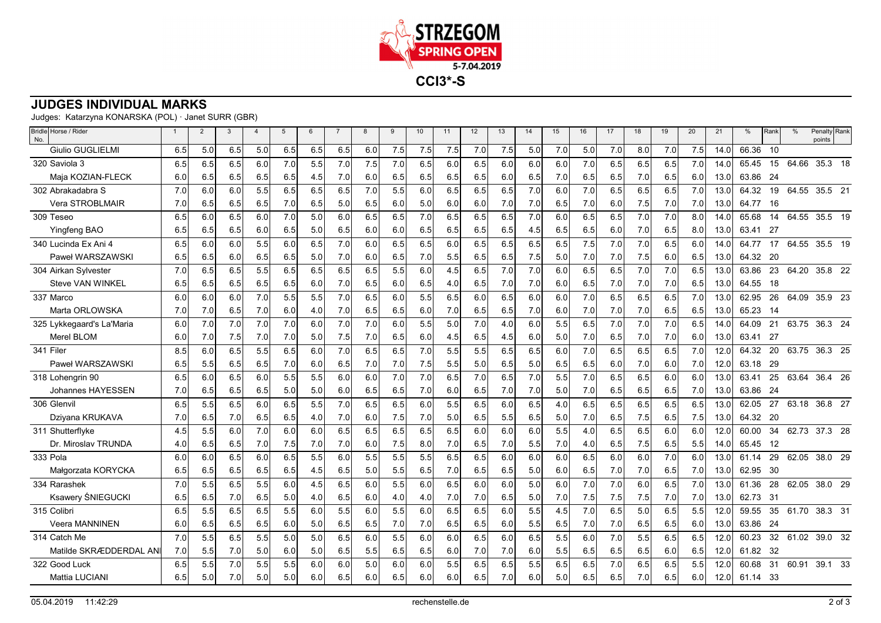

## **JUDGES INDIVIDUAL MARKS**

Judges: Katarzyna KONARSKA (POL) · Janet SURR (GBR)

| Bridle Horse / Rider<br>No. | $\mathbf{1}$ | $\overline{2}$ | 3   | $\overline{\mathbf{4}}$ | 5   | 6   | $\overline{7}$ | 8   | 9   | 10  | 11  | 12  | 13  | 14  | 15  | 16  | 17  | 18  | 19  | 20  | 21   | %        | Rank | $\frac{0}{0}$ | Penalty Rank<br>points |
|-----------------------------|--------------|----------------|-----|-------------------------|-----|-----|----------------|-----|-----|-----|-----|-----|-----|-----|-----|-----|-----|-----|-----|-----|------|----------|------|---------------|------------------------|
| <b>Giulio GUGLIELMI</b>     | 6.5          | 5.0            | 6.5 | 5.0                     | 6.5 | 6.5 | 6.5            | 6.0 | 7.5 | 7.5 | 7.5 | 7.0 | 7.5 | 5.0 | 7.0 | 5.0 | 7.0 | 8.0 | 7.0 | 7.5 | 14.0 | 66.36    | 10   |               |                        |
| 320 Saviola 3               | 6.5          | 6.5            | 6.5 | 6.0                     | 7.0 | 5.5 | 7.0            | 7.5 | 7.0 | 6.5 | 6.0 | 6.5 | 6.0 | 6.0 | 6.0 | 7.0 | 6.5 | 6.5 | 6.5 | 7.0 | 14.0 | 65.45    | 15   | 64.66         | 35.3 18                |
| Maja KOZIAN-FLECK           | 6.0          | 6.5            | 6.5 | 6.5                     | 6.5 | 4.5 | 7.0            | 6.0 | 6.5 | 6.5 | 6.5 | 6.5 | 6.0 | 6.5 | 7.0 | 6.5 | 6.5 | 7.0 | 6.5 | 6.0 | 13.0 | 63.86    | -24  |               |                        |
| 302 Abrakadabra S           | 7.0          | 6.0            | 6.0 | 5.5                     | 6.5 | 6.5 | 6.5            | 7.0 | 5.5 | 6.0 | 6.5 | 6.5 | 6.5 | 7.0 | 6.0 | 7.0 | 6.5 | 6.5 | 6.5 | 7.0 | 13.0 | 64.32    | 19   |               | 64.55 35.5 21          |
| Vera STROBLMAIR             | 7.0          | 6.5            | 6.5 | 6.5                     | 7.0 | 6.5 | 5.0            | 6.5 | 6.0 | 5.0 | 6.0 | 6.0 | 7.0 | 7.0 | 6.5 | 7.0 | 6.0 | 7.5 | 7.0 | 7.0 | 13.0 | 64.77    | 16   |               |                        |
| 309 Teseo                   | 6.5          | 6.0            | 6.5 | 6.0                     | 7.0 | 5.0 | 6.0            | 6.5 | 6.5 | 7.0 | 6.5 | 6.5 | 6.5 | 7.0 | 6.0 | 6.5 | 6.5 | 7.0 | 7.0 | 8.0 | 14.0 | 65.68    | 14   | 64.55         | 35.5 19                |
| <b>Yingfeng BAO</b>         | 6.5          | 6.5            | 6.5 | 6.0                     | 6.5 | 5.0 | 6.5            | 6.0 | 6.0 | 6.5 | 6.5 | 6.5 | 6.5 | 4.5 | 6.5 | 6.5 | 6.0 | 7.0 | 6.5 | 8.0 | 13.0 | 63.41    | - 27 |               |                        |
| 340 Lucinda Ex Ani 4        | 6.5          | 6.0            | 6.0 | 5.5                     | 6.0 | 6.5 | 7.0            | 6.0 | 6.5 | 6.5 | 6.0 | 6.5 | 6.5 | 6.5 | 6.5 | 7.5 | 7.0 | 7.0 | 6.5 | 6.0 | 14.0 | 64.77    | 17   |               | 64.55 35.5 19          |
| Paweł WARSZAWSKI            | 6.5          | 6.5            | 6.0 | 6.5                     | 6.5 | 5.0 | 7.0            | 6.0 | 6.5 | 7.0 | 5.5 | 6.5 | 6.5 | 7.5 | 5.0 | 7.0 | 7.0 | 7.5 | 6.0 | 6.5 | 13.0 | 64.32    | -20  |               |                        |
| 304 Airkan Sylvester        | 7.0          | 6.5            | 6.5 | 5.5                     | 6.5 | 6.5 | 6.5            | 6.5 | 5.5 | 6.0 | 4.5 | 6.5 | 7.0 | 7.0 | 6.0 | 6.5 | 6.5 | 7.0 | 7.0 | 6.5 | 13.0 | 63.86    | 23   |               | 64.20 35.8 22          |
| Steve VAN WINKEL            | 6.5          | 6.5            | 6.5 | 6.5                     | 6.5 | 6.0 | 7.0            | 6.5 | 6.0 | 6.5 | 4.0 | 6.5 | 7.0 | 7.0 | 6.0 | 6.5 | 7.0 | 7.0 | 7.0 | 6.5 | 13.0 | 64.55    | 18   |               |                        |
| 337 Marco                   | 6.0          | 6.0            | 6.0 | 7.0                     | 5.5 | 5.5 | 7.0            | 6.5 | 6.0 | 5.5 | 6.5 | 6.0 | 6.5 | 6.0 | 6.0 | 7.0 | 6.5 | 6.5 | 6.5 | 7.0 | 13.0 | 62.95    | 26   | 64.09         | 35.9 23                |
| Marta ORLOWSKA              | 7.0          | 7.0            | 6.5 | 7.0                     | 6.0 | 4.0 | 7.0            | 6.5 | 6.5 | 6.0 | 7.0 | 6.5 | 6.5 | 7.0 | 6.0 | 7.0 | 7.0 | 7.0 | 6.5 | 6.5 | 13.0 | 65.23    | - 14 |               |                        |
| 325 Lykkegaard's La'Maria   | 6.0          | 7.0            | 7.0 | 7.0                     | 7.0 | 6.0 | 7.0            | 7.0 | 6.0 | 5.5 | 5.0 | 7.0 | 4.0 | 6.0 | 5.5 | 6.5 | 7.0 | 7.0 | 7.0 | 6.5 | 14.0 | 64.09    | 21   |               | 63.75 36.3 24          |
| Merel BLOM                  | 6.0          | 7.0            | 7.5 | 7.0                     | 7.0 | 5.0 | 7.5            | 7.0 | 6.5 | 6.0 | 4.5 | 6.5 | 4.5 | 6.0 | 5.0 | 7.0 | 6.5 | 7.0 | 7.0 | 6.0 | 13.0 | 63.41    | - 27 |               |                        |
| 341 Filer                   | 8.5          | 6.0            | 6.5 | 5.5                     | 6.5 | 6.0 | 7.0            | 6.5 | 6.5 | 7.0 | 5.5 | 5.5 | 6.5 | 6.5 | 6.0 | 7.0 | 6.5 | 6.5 | 6.5 | 7.0 | 12.0 | 64.32    | 20   |               | 63.75 36.3 25          |
| Paweł WARSZAWSKI            | 6.5          | 5.5            | 6.5 | 6.5                     | 7.0 | 6.0 | 6.5            | 7.0 | 7.0 | 7.5 | 5.5 | 5.0 | 6.5 | 5.0 | 6.5 | 6.5 | 6.0 | 7.0 | 6.0 | 7.0 | 12.0 | 63.18    | 29   |               |                        |
| 318 Lohengrin 90            | 6.5          | 6.0            | 6.5 | 6.0                     | 5.5 | 5.5 | 6.0            | 6.0 | 7.0 | 7.0 | 6.5 | 7.0 | 6.5 | 7.0 | 5.5 | 7.0 | 6.5 | 6.5 | 6.0 | 6.0 | 13.0 | 63.41    | 25   | 63.64         | 36.4 26                |
| Johannes HAYESSEN           | 7.0          | 6.5            | 6.5 | 6.5                     | 5.0 | 5.0 | 6.0            | 6.5 | 6.5 | 7.0 | 6.0 | 6.5 | 7.0 | 7.0 | 5.0 | 7.0 | 6.5 | 6.5 | 6.5 | 7.0 | 13.0 | 63.86    | 24   |               |                        |
| 306 Glenvil                 | 6.5          | 5.5            | 6.5 | 6.0                     | 6.5 | 5.5 | 7.0            | 6.5 | 6.5 | 6.0 | 5.5 | 6.5 | 6.0 | 6.5 | 4.0 | 6.5 | 6.5 | 6.5 | 6.5 | 6.5 | 13.0 | 62.05    | 27   | 63.18         | 36.8 27                |
| Dziyana KRUKAVA             | 7.0          | 6.5            | 7.0 | 6.5                     | 6.5 | 4.0 | 7.0            | 6.0 | 7.5 | 7.0 | 5.0 | 6.5 | 5.5 | 6.5 | 5.0 | 7.0 | 6.5 | 7.5 | 6.5 | 7.5 | 13.0 | 64.32    | - 20 |               |                        |
| 311 Shutterflyke            | 4.5          | 5.5            | 6.0 | 7.0                     | 6.0 | 6.0 | 6.5            | 6.5 | 6.5 | 6.5 | 6.5 | 6.0 | 6.0 | 6.0 | 5.5 | 4.0 | 6.5 | 6.5 | 6.0 | 6.0 | 12.0 | 60.00    | 34   |               | 62.73 37.3 28          |
| Dr. Miroslav TRUNDA         | 4.0          | 6.5            | 6.5 | 7.0                     | 7.5 | 7.0 | 7.0            | 6.0 | 7.5 | 8.0 | 7.0 | 6.5 | 7.0 | 5.5 | 7.0 | 4.0 | 6.5 | 7.5 | 6.5 | 5.5 | 14.0 | 65.45    | 12   |               |                        |
| 333 Pola                    | 6.0          | 6.0            | 6.5 | 6.0                     | 6.5 | 5.5 | 6.0            | 5.5 | 5.5 | 5.5 | 6.5 | 6.5 | 6.0 | 6.0 | 6.0 | 6.5 | 6.0 | 6.0 | 7.0 | 6.0 | 13.0 | 61.14    | 29   | 62.05         | 38.0 29                |
| Małgorzata KORYCKA          | 6.5          | 6.5            | 6.5 | 6.5                     | 6.5 | 4.5 | 6.5            | 5.0 | 5.5 | 6.5 | 7.0 | 6.5 | 6.5 | 5.0 | 6.0 | 6.5 | 7.0 | 7.0 | 6.5 | 7.0 | 13.0 | 62.95    | -30  |               |                        |
| 334 Rarashek                | 7.0          | 5.5            | 6.5 | 5.5                     | 6.0 | 4.5 | 6.5            | 6.0 | 5.5 | 6.0 | 6.5 | 6.0 | 6.0 | 5.0 | 6.0 | 7.0 | 7.0 | 6.0 | 6.5 | 7.0 | 13.0 | 61.36    | 28   | 62.05         | 38.0 29                |
| Ksawery ŚNIEGUCKI           | 6.5          | 6.5            | 7.0 | 6.5                     | 5.0 | 4.0 | 6.5            | 6.0 | 4.0 | 4.0 | 7.0 | 7.0 | 6.5 | 5.0 | 7.0 | 7.5 | 7.5 | 7.5 | 7.0 | 7.0 | 13.0 | 62.73    | - 31 |               |                        |
| 315 Colibri                 | 6.5          | 5.5            | 6.5 | 6.5                     | 5.5 | 6.0 | 5.5            | 6.0 | 5.5 | 6.0 | 6.5 | 6.5 | 6.0 | 5.5 | 4.5 | 7.0 | 6.5 | 5.0 | 6.5 | 5.5 | 12.0 | 59.55    | 35   |               | 61.70 38.3 31          |
| <b>Veera MANNINEN</b>       | 6.0          | 6.5            | 6.5 | 6.5                     | 6.0 | 5.0 | 6.5            | 6.5 | 7.0 | 7.0 | 6.5 | 6.5 | 6.0 | 5.5 | 6.5 | 7.0 | 7.0 | 6.5 | 6.5 | 6.0 | 13.0 | 63.86    | 24   |               |                        |
| 314 Catch Me                | 7.0          | 5.5            | 6.5 | 5.5                     | 5.0 | 5.0 | 6.5            | 6.0 | 5.5 | 6.0 | 6.0 | 6.5 | 6.0 | 6.5 | 5.5 | 6.0 | 7.0 | 5.5 | 6.5 | 6.5 | 12.0 | 60.23    | 32   |               | 61.02 39.0 32          |
| Matilde SKRÆDDERDAL AN      | 7.0          | 5.5            | 7.0 | 5.0                     | 6.0 | 5.0 | 6.5            | 5.5 | 6.5 | 6.5 | 6.0 | 7.0 | 7.0 | 6.0 | 5.5 | 6.5 | 6.5 | 6.5 | 6.0 | 6.5 | 12.0 | 61.82    | 32   |               |                        |
| 322 Good Luck               | 6.5          | 5.5            | 7.0 | 5.5                     | 5.5 | 6.0 | 6.0            | 5.0 | 6.0 | 6.0 | 5.5 | 6.5 | 6.5 | 5.5 | 6.5 | 6.5 | 7.0 | 6.5 | 6.5 | 5.5 | 12.0 | 60.68    | 31   | 60.91         | 39.1 33                |
| Mattia LUCIANI              | 6.5          | 5.0            | 7.0 | 5.0                     | 5.0 | 6.0 | 6.5            | 6.0 | 6.5 | 6.0 | 6.0 | 6.5 | 7.0 | 6.0 | 5.0 | 6.5 | 6.5 | 7.0 | 6.5 | 6.0 | 12.0 | 61.14 33 |      |               |                        |